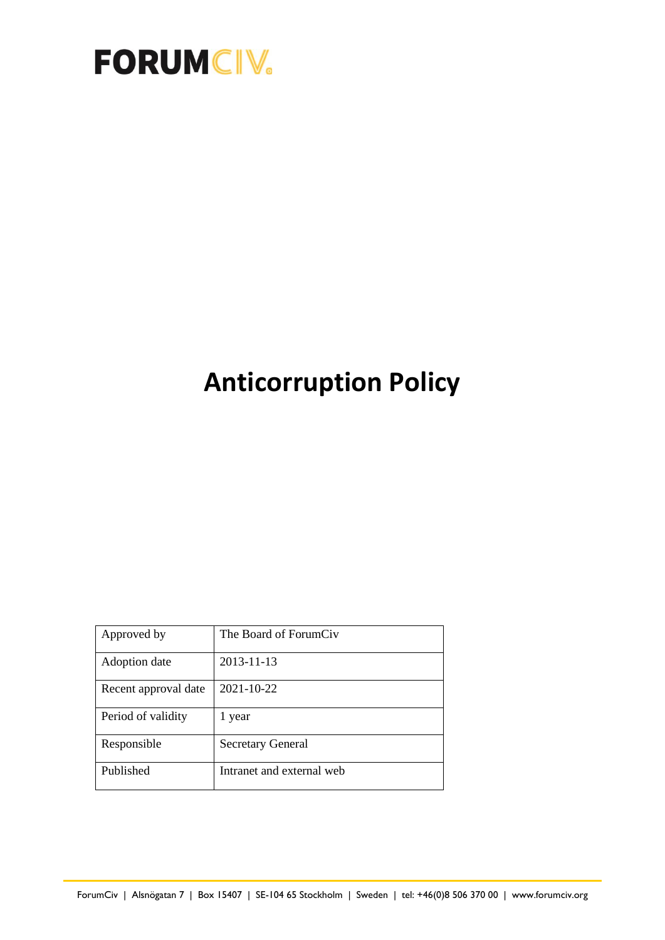

# **Anticorruption Policy**

| Approved by          | The Board of ForumCiv     |
|----------------------|---------------------------|
| Adoption date        | 2013-11-13                |
| Recent approval date | 2021-10-22                |
| Period of validity   | 1 year                    |
| Responsible          | <b>Secretary General</b>  |
| Published            | Intranet and external web |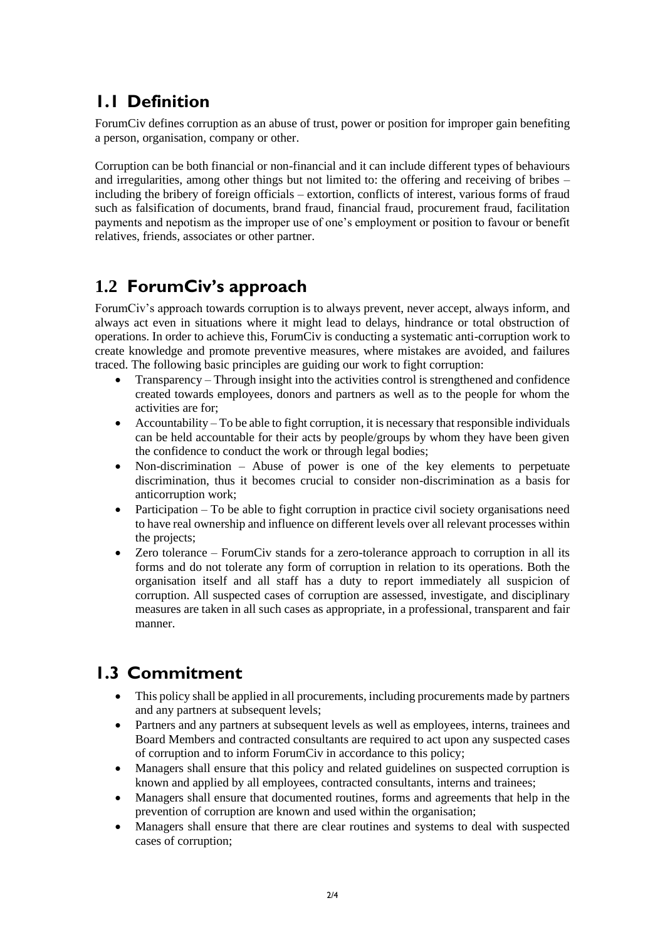## **1.1 Definition**

ForumCiv defines corruption as an abuse of trust, power or position for improper gain benefiting a person, organisation, company or other.

Corruption can be both financial or non-financial and it can include different types of behaviours and irregularities, among other things but not limited to: the offering and receiving of bribes – including the bribery of foreign officials – extortion, conflicts of interest, various forms of fraud such as falsification of documents, brand fraud, financial fraud, procurement fraud, facilitation payments and nepotism as the improper use of one's employment or position to favour or benefit relatives, friends, associates or other partner.

## **1.2 ForumCiv's approach**

ForumCiv's approach towards corruption is to always prevent, never accept, always inform, and always act even in situations where it might lead to delays, hindrance or total obstruction of operations. In order to achieve this, ForumCiv is conducting a systematic anti-corruption work to create knowledge and promote preventive measures, where mistakes are avoided, and failures traced. The following basic principles are guiding our work to fight corruption:

- Transparency Through insight into the activities control is strengthened and confidence created towards employees, donors and partners as well as to the people for whom the activities are for;
- Accountability To be able to fight corruption, it is necessary that responsible individuals can be held accountable for their acts by people/groups by whom they have been given the confidence to conduct the work or through legal bodies;
- Non-discrimination Abuse of power is one of the key elements to perpetuate discrimination, thus it becomes crucial to consider non-discrimination as a basis for anticorruption work;
- Participation To be able to fight corruption in practice civil society organisations need to have real ownership and influence on different levels over all relevant processes within the projects;
- Zero tolerance ForumCiv stands for a zero-tolerance approach to corruption in all its forms and do not tolerate any form of corruption in relation to its operations. Both the organisation itself and all staff has a duty to report immediately all suspicion of corruption. All suspected cases of corruption are assessed, investigate, and disciplinary measures are taken in all such cases as appropriate, in a professional, transparent and fair manner.

## **1.3 Commitment**

- This policy shall be applied in all procurements, including procurements made by partners and any partners at subsequent levels;
- Partners and any partners at subsequent levels as well as employees, interns, trainees and Board Members and contracted consultants are required to act upon any suspected cases of corruption and to inform ForumCiv in accordance to this policy;
- Managers shall ensure that this policy and related guidelines on suspected corruption is known and applied by all employees, contracted consultants, interns and trainees;
- Managers shall ensure that documented routines, forms and agreements that help in the prevention of corruption are known and used within the organisation;
- Managers shall ensure that there are clear routines and systems to deal with suspected cases of corruption;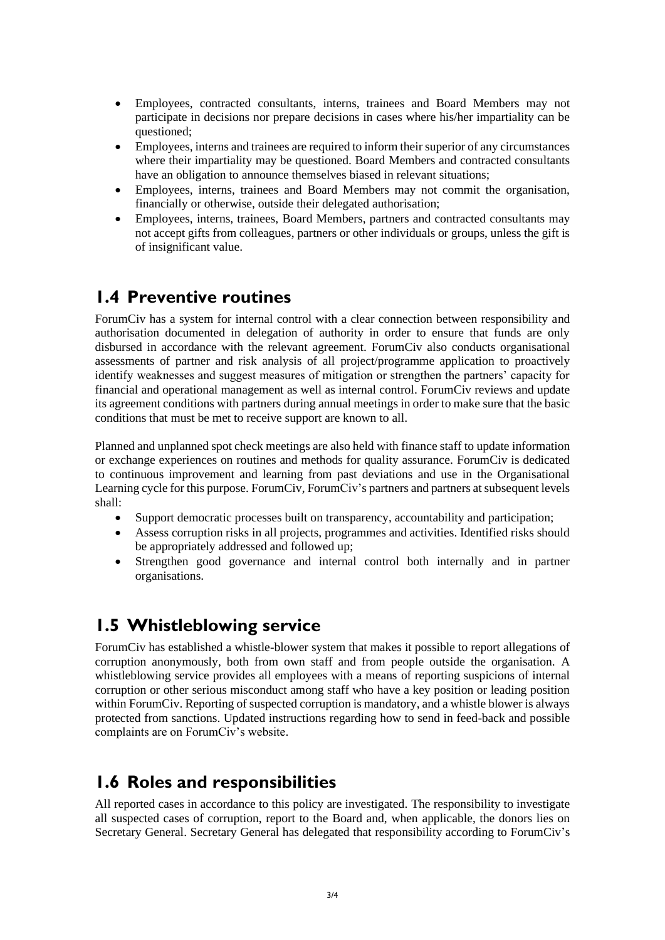- Employees, contracted consultants, interns, trainees and Board Members may not participate in decisions nor prepare decisions in cases where his/her impartiality can be questioned;
- Employees, interns and trainees are required to inform their superior of any circumstances where their impartiality may be questioned. Board Members and contracted consultants have an obligation to announce themselves biased in relevant situations;
- Employees, interns, trainees and Board Members may not commit the organisation, financially or otherwise, outside their delegated authorisation;
- Employees, interns, trainees, Board Members, partners and contracted consultants may not accept gifts from colleagues, partners or other individuals or groups, unless the gift is of insignificant value.

#### **1.4 Preventive routines**

ForumCiv has a system for internal control with a clear connection between responsibility and authorisation documented in delegation of authority in order to ensure that funds are only disbursed in accordance with the relevant agreement. ForumCiv also conducts organisational assessments of partner and risk analysis of all project/programme application to proactively identify weaknesses and suggest measures of mitigation or strengthen the partners' capacity for financial and operational management as well as internal control. ForumCiv reviews and update its agreement conditions with partners during annual meetings in order to make sure that the basic conditions that must be met to receive support are known to all.

Planned and unplanned spot check meetings are also held with finance staff to update information or exchange experiences on routines and methods for quality assurance. ForumCiv is dedicated to continuous improvement and learning from past deviations and use in the Organisational Learning cycle for this purpose. ForumCiv, ForumCiv's partners and partners at subsequent levels shall:

- Support democratic processes built on transparency, accountability and participation;
- Assess corruption risks in all projects, programmes and activities. Identified risks should be appropriately addressed and followed up;
- Strengthen good governance and internal control both internally and in partner organisations.

## **1.5 Whistleblowing service**

ForumCiv has established a whistle-blower system that makes it possible to report allegations of corruption anonymously, both from own staff and from people outside the organisation. A whistleblowing service provides all employees with a means of reporting suspicions of internal corruption or other serious misconduct among staff who have a key position or leading position within ForumCiv. Reporting of suspected corruption is mandatory, and a whistle blower is always protected from sanctions. Updated instructions regarding how to send in feed-back and possible complaints are on ForumCiv's website.

## **1.6 Roles and responsibilities**

All reported cases in accordance to this policy are investigated. The responsibility to investigate all suspected cases of corruption, report to the Board and, when applicable, the donors lies on Secretary General. Secretary General has delegated that responsibility according to ForumCiv's